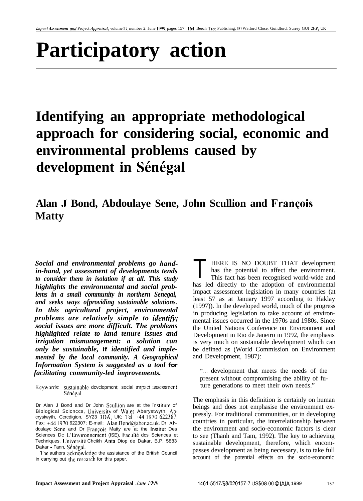# **Participatory action**

**Identifying an appropriate methodological approach for considering social, economic and environmental problems caused by** development in Sénégal

# **Alan J Bond, Abdoulaye Sene, John Scullion and Franqois Matty**

*Social and environmental problems go handin-hand, yet assessment of developments tends to consider them in isolation if at all. This study highlights the environmental and social problems in a small community in northern Senegal, and seeks ways ofproviding sustainable solutions. In this agricultural project, environmental problems are relatively simple to identtfy; social issues are more difficult. The problems highlighted relate to land tenure issues and irrigation mismanagement: a solution can only be sustainable, if identified and implemented by the local community. A Geographical Information System is suggested as a tool for facilitating community-led improvements.*

Keywords: sustainable development; social impact assessment; Sénégal

Dr Alan J Bond and Dr John Scullion are at the Institute of Biological Scicnccs, University of Wales Aberystwyth, Abcrystwyth, Ccrcdigion, SY23 3DA, UK; Tel: +44 1970 622387; Fax: +44 1970 622307; E-mail: Alan.Bond@abcr.ac.uk. Dr Abdoulayc Scnc and Dr Francois Matty are at the lnstitut Des Sciences Dc L'Environnement (ISE), Faculté dcs Sciences et Techniques, Université Chcikh Anta Diop de Dakar, B.P. 5883 Dakar - Fann, Sénégal.

The authors acknowlcdgc the assistance of the British Council in carrying out the rcscarch for this paper.

**THERE IS NO DOUBT THAT development**<br>has the potential to affect the environment.<br>This fact has been recognised world-wide and has the potential to affect the environment. This fact has been recognised world-wide and has led directly to the adoption of environmental impact assessment legislation in many countries (at least 57 as at January 1997 according to Haklay (1997)). In the developed world, much of the progress in producing legislation to take account of environmental issues occurred in the 1970s and 1980s. Since the United Nations Conference on Environment and Development in Rio de Janeiro in 1992, the emphasis is very much on sustainable development which can be defined as (World Commission on Environment and Development, 1987):

"... development that meets the needs of the present without compromising the ability of future generations to meet their own needs."

The emphasis in this definition is certainly on human beings and does not emphasise the environment expressly. For traditional communities, or in developing countries in particular, the interrelationship between the environment and socio-economic factors is clear to see (Thanh and Tam, 1992). The key to achieving sustainable development, therefore, which encompasses development as being necessary, is to take full account of the potential effects on the socio-economic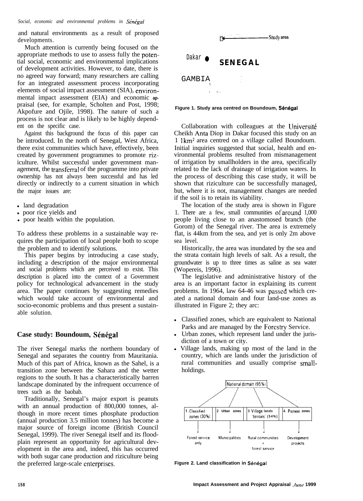and natural environments .as a result of proposed developments.

Much attention is currently being focused on the appropriate methods to use to assess fully the potential social, economic and environmental implications of development activities. However, to date, there is no agreed way forward; many researchers are calling for an integrated assessment process incorporating GAMBIA elements of social impact assessment (SIA), environmental impact assessment (EIA) and economic **ap**praisal (see, for example, Scholten and Post, 1998; Akpofure and Ojile, 1998). The nature of such a process is not clear and is likely to be highly dependent on the specific case.

Against this background the focus of this paper can be introduced. In the north of Senegal, West Africa, there exist communities which have, effectively, been created by government programmes to promote riziculture. Whilst successful under government management, the transferral of the programme into private ownership has not always been successful and has led directly or indirectly to a current situation in which the major issues are:

- land degradation
- poor rice yields and
- poor health within the population.

To address these problems in a sustainable way requires the participation of local people both to scope the problem and to identify solutions.

This paper begins by introducing a case study, including a description of the major environmental and social problems which are perceived to exist. This description is placed into the context of a Government policy for technological advancement in the study area. The paper continues by suggesting remedies which would take account of environmental and socio-economic problems and thus present a sustainable solution.

#### **Case study: Boundoum, Sénégal**

The river Senegal marks the northern boundary of Senegal and separates the country from Mauritania. Much of this part of Africa, known as the Sahel, is a transition zone between the Sahara and the wetter regions to the south. It has a characteristically barren landscape dominated by the infrequent occurrence of trees such as the baobab.

Traditionally, Senegal's major export is peanuts with an annual production of 800,000 tonnes, although in more recent times phosphate production (annual production 3.5 million tonnes) has become a major source of foreign income (British Council Senegal, 1999). The river Senegal itself and its floodplain represent an opportunity for agricultural development in the area and, indeed, this has occurred with both sugar cane production and riziculture being the preferred large-scale enterprises.



Figure 1. Study area centred on Boundoum, Sénégal

Collaboration with colleagues at the Université Cheikh Anta Diop in Dakar focused this study on an 1 lkm2 area centred on a village called Boundoum. Initial inquiries suggested that social, health and environmental problems resulted from mismanagement of irrigation by smallholders in the area, specifically related to the lack of drainage of irrigation waters. In the process of describing this case study, it will be shown that riziculture can be successfully managed, but, where it is not, management changes are needed if the soil is to retain its viability.

The location of the study area is shown in Figure 1. There are a few, small communities of around 1,000 people living close to an anastomosed branch (the Gorom) of the Senegal river. The area is extremely flat, is 44km from the sea, and yet is only 2m above sea level.

Historically, the area was inundated by the sea and the strata contain high levels of salt. As a result, the groundwater is up to three times as saline as sea water (Wopereis, 1996).

The legislative and administrative history of the area is an important factor in explaining its current problems. In 1964, law 64-46 was passed which created a national domain and four land-use zones as illustrated in Figure 2; they arc:

- Classified zones, which are equivalent to National Parks and are managed by the Forestry Service.
- Urban zones, which represent land under the jurisdiction of a town or city.
- Village lands, making up most of the land in the country, which are lands under the jurisdiction of rural communities and usually comprise smallholdings.



**Figure 2. Land classification in Sénégal**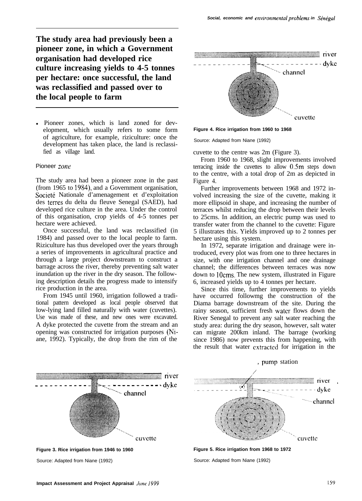**The study area had previously been a pioneer zone, in which a Government organisation had developed rice culture increasing yields to 4-5 tonnes per hectare: once successful, the land was reclassified and passed over to the local people to farm**

Pioneer zones, which is land zoned for development, which usually refers to some form of agriculture, for example, riziculture: once the development has taken place, the land is reclassified as village land.

#### Pioneer zone

The study area had been a pioneer zone in the past (from 1965 to 1984), and a Government organisation, Societé Nationale d'amenagement et d'exploitation des terres du delta du fleuve Senegal (SAED), had developed rice culture in the area. Under the control of this organisation, crop yields of 4-5 tonnes per hectare were achieved.

Once successful, the land was reclassified (in 1984) and passed over to the local people to farm. Riziculture has thus developed over the years through a series of improvements in agricultural practice and through a large project downstream to construct a barrage across the river, thereby preventing salt water inundation up the river in the dry season. The following description details the progress made to intensify rice production in the area.

From 1945 until 1960, irrigation followed a traditional pattern developed as local people observed that low-lying land filled naturally with water (cuvettes). Use was made of these, and new ones were excavated. A dyke protected the cuvette from the stream and an opening was constructed for irrigation purposes (Niane, 1992). Typically, the drop from the rim of the



#### **Figure 4. Rice irrigation from 1960 to 1968**

Source: Adapted from Niane (1992)

cuvette to the centre was 2m (Figure 3).

From 1960 to 1968, slight improvements involved terracing inside the cuvettes to allow  $0.5m$  steps down to the centre, with a total drop of 2m as depicted in Figure 4.

Further improvements between 1968 and 1972 involved increasing the size of the cuvette, making it more ellipsoid in shape, and increasing the number of terraces whilst reducing the drop between their levels to 25cms. In addition, an electric pump was used to transfer water from the channel to the cuvette: Figure 5 illustrates this. Yields improved up to 2 tonnes per hectare using this system.

In 1972, separate irrigation and drainage were introduced, every plot was from one to three hectares in size, with one irrigation channel and one drainage channel; the differences between terraces was now down to 10cms. The new system, illustrated in Figure 6, increased yields up to 4 tonnes per hectare.

Since this time, further improvements to yields have occurred followmg the construction of the Diama barrage downstream of the site. During the rainy season, sufficient fresh water flows down the River Senegal to prevent any salt water reaching the study area: during the dry season, however, salt water can migrate 200km inland. The barrage (working since 1986) now prevents this from happening, with the result that water cxtractcd for irrigation in the

, pump station



Source: Adapted from Niane (1992)



**Figure 5. Rice irrigation from 1968 to 1972**

Source: Adapted from Niane (1992)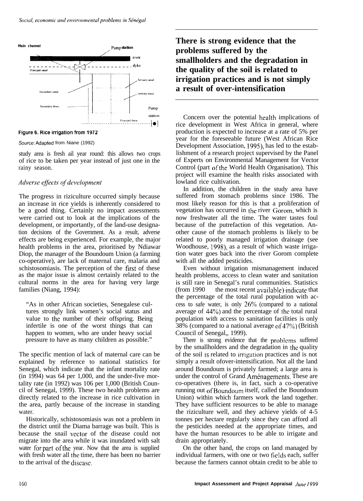

#### Figure 6. Rice irrigation from 1972

#### Source:Adapted from Niane (1992)

study area is fresh ail year round: this allows two crops of rice to be taken per year instead of just one in the rainy season.

#### Adverse effects of development

The progress in riziculture occurred simply because an increase in rice yields is inherently considered to be a good thing. Certainly no impact assessments were carried out to look at the implications of the development, or importantly, of the land-use designation decisions of the Government. As a result, adverse effects are being experienced. For example, the major health problems in the area, prioritised by Ndiawar Diop, the manager of the Boundoum Union (a farming co-operative), are lack of maternal care, malaria and schistosomiasis. The perception of the first of these as the major issue is almost certainly related to the cultural norms in the area for having very large families (Niang, 1994):

"As in other African societies, Senegalese cultures strongly link women's social status and value to the number of their offspring. Being infertile is one of the worst things that can happen to women, who are under heavy social pressure to have as many children as possible."

The specific mention of lack of maternal care can be explained by reference to national statistics for Senegal, which indicate that the infant mortality rate (in 1994) was 64 per 1,000, and the under-five mortality rate (in 1992) was 106 per 1,000 (British Council of Senegal, 1999). These two health problems are directly related to the increase in rice cultivation in the area, partly because of the increase in standing water.

Historically, schistosomiasis was not a problem in the district until the Diama barrage was built. This is because the snail vector of the disease could not migrate into the area while it was inundated with salt water for part of the year. Now that the area is supplied with fresh water all the time, there has been no barrier to the arrival of the disease.

**There is strong evidence that the problems suffered by the smallholders and the degradation in the quality of the soil is related to irrigation practices and is not simply a result of over-intensification**

Concern over the potential health implications of rice development in West Africa in general, where production is expected to increase at a rate of 5% per year for the foreseeable future (West African Rice Development Association, 1995), has led to the establishment of a research project supervised by the Panel of Experts on Environmental Management for Vector Control (part of the World Health Organisation). This project will examine the health risks associated with lowland rice cultivation.

In addition, the children in the study area have suffered from stomach problems since 1986. The most likely reason for this is that a proliferation of vegetation has occurred in the river Gorom, which is now freshwater all the time. The water tastes foul because of the putrefaction of this vegetation. Another cause of the stomach problems is likely to be related to poorly managed irrigation drainage (see Woodhouse, 1998) as a result of which waste irrigation water goes back into the river Gorom complete with all the added pesticides.

Even without irrigation mismanagement induced health problems, access to clean water and sanitation is still rare in Senegal's rural communities. Statistics (from 1990 the most recent available) indicate that the percentage of the total rural population with access to safe water, is only 26%) (compared to a national average of 44%)) and the percentage of the total rural population with access to sanitation facilities is only 38% (compared to a national average of  $47\%$ ) (British Council of Senegal,, 1999).

There is strong evidence that the problems suffered by the smallholders and the degradation in the quality of the soil 1s related to irrigation practices and is not simply a result ofover-intensification. Not all the land around Boundoum is privately farmed; a large area is under the control of Grand Amenagements. These are co-operatives (there is, in fact, such a co-operative running out of Boundoum itself, called the Boundoum Union) within which farmers work the land together. They have sufficient resources to be able to manage the riziculture well, and they achieve yields of 4-5 tonnes per hectare regularly since they can afford all the pesticides needed at the appropriate times, and have the human resources to be able to irrigate and drain appropriately.

On the other hand, the crops on land managed by individual farmers, with one or two fields each, suffer because the farmers cannot obtain credit to be able to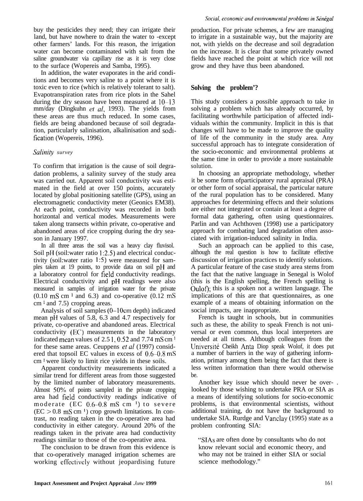buy the pesticides they need; they can irrigate their land, but have nowhere to drain the water to -except other farmers' lands. For this reason, the irrigation water can become contaminated with salt from the saline groundwater via capillary rise as it is very close to the surface (Wopereis and Samba, 1995).

In addition, the water evaporates in the arid conditions and becomes very saline to a point where it is toxic even to rice (which is relatively tolerant to salt). Evapotranspiration rates from rice plots in the Sahel during the dry season have been measured at IO-13 mm/day (Dingkuhn et al, 1993). The yields from these areas are thus much reduced. In some cases, fields are being abandoned because of soil degradation, particularly salinisation, alkalinisation and sodification (Wopereis, 1996).

## *Sdinity survey*

To confirm that irrigation is the cause of soil degradation problems, a salinity survey of the study area was carried out. Apparent soil conductivity was estimated in the field at over 150 points, accurately located by global positioning satellite (GPS), using an electromagnetic conductivity meter (Geonics EM38). At each point, conductivity was recorded in both horizontal and vertical modes. Measurements were taken along transects within private, co-operative and abandoned areas of rice cropping during the dry season in January 1997.

In all three areas the soil was a heavy clay fluvisol. Soil pH (soil:water ratio 1:2.5) and electrical conductivity (soil:water ratio 1:5) were measured for samples taken at 19 points, to provide data on soil pH and a laboratory control for field conductivity readings. Electrical conductivity and pH readings were also measured in samples of irrigation water for the private  $(0.10 \text{ mS cm}^{-1} \text{ and } 6.3)$  and co-operative  $(0.12 \text{ mS})$  $cm<sup>1</sup>$  and 7.5) cropping areas.

Analysis of soil samples (0-1Ocm depth) indicated mean pH values of 5.8, 6.3 and 4.7 respectively for private, co-operative and abandoned areas. Electrical conductivity (EC) measurements in the laboratory indicated mean values of  $2.51$ ,  $0.52$  and  $7.74$  mS cm<sup>1</sup> for these same areas. Ceuppens *et al* (1997) considered that topsoil EC values in excess of  $0.6-0.8$  mS cm i were likely to limit rice yields in these soils.

Apparent conductivity measurements indicated a similar trend for different areas from those suggested by the limited number of laboratory measurements. Almost 50% of points sampled in the private cropping area had field conductivity readings indicative of moderate (EC  $0.6-0.8$  mS cm<sup>-1</sup>) to severe  $(EC > 0.8 \text{ mS cm}^{-1})$  crop growth limitations. In contrast, no reading taken in the co-operative area had conductivity in either category. Around 20% of the readings taken in the private area had conductivity readings similar to those of the co-operative area.

The conclusion to be drawn from this evidence is that co-operatively managed irrigation schemes are working effectively without jeopardising future

production. For private schemes, a few are managing to irrigate in a sustainable way, but the majority are not, with yields on the decrease and soil degradation on the increase. It is clear that some privately owned fields have reached the point at which rice will not grow and they have thus been abandoned.

# **Solving the problem'?**

This study considers a possible approach to take in solving a problem which has already occurred, by facilitating worthwhile participation of affected individuals within the community. Implicit in this is that changes will have to be made to improve the quality of life of the community in the study area. Any successful approach has to integrate consideration of the socio-economic and environmental problems at the same time in order to provide a more sustainable solution.

In choosing an appropriate methodology, whether it be some form ofparticipatory rural appraisal (PRA) or other form of social appraisal, the particular nature of the rural population has to be considered. Many approaches for determining effects and their solutions are either not integrated or contain at least a degree of formal data gathering, often using questionnaires. Parlin and van Achthoven (1998) use a participatory approach for combating land degradation often associated with irrigation-induced salinity in India.

Such an approach can be applied to this case, although the real question is how to facilitate effective discussion of irrigation practices to identify solutions. A particular feature of the case study area stems from the fact that the native language in Senegal is Wolof (this is the English spelling, the French spelling is Oulof); this is a spoken not a written language. The implications of this are that questionnaires, as one example of a means of obtaining information on the social impacts, are inappropriate.

French is taught in schools, but in communities such as these, the ability to speak French is not universal or even common, thus local interpreters are needed at all times. Although colleagues from the Universite Cheikh Anta Diop speak Wolof, it does put a number of barriers in the way of gathering information, primary among them being the fact that there is less written information than there would otherwise be.

Another key issue which should never be over- . looked by those wishing to undertake PRA or SIA as a means of identifying solutions for socio-economic problems, is that environmental scientists, without additional training, do not have the background to undertake SIA. Rurdge and Vanclay (1995) state as a problem confronting SIA:

"SIAs are often done by consultants who do not know relevant social and economic theory, and who may not be trained in either SIA or social science methodology."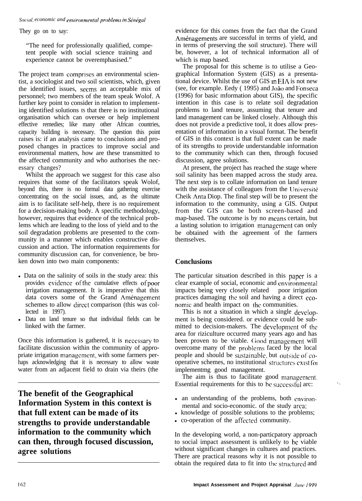They go on to say:

"The need for professionally qualified, competent people with social science training and experience cannot be overemphasised."

The project team comprises an environmental scientist, a sociologist and two soil scientists, which, given the identified issues, seems an acceptable mix of personnel; two members of the team speak Wolof. A further key point to consider in relation to implementing identified solutions IS that there is no institutional organisation which can oversee or help implement effective remedies; like many other African countries, capacity building is necessary. The question this point raises is: if an analysis came to conclusions and proposed changes in practices to improve social and environmental matters, how are these transmitted to the affected community and who authorises the necessary changes?

Whilst the approach we suggest for this case also requires that some of the facilitators speak Wolof, beyond this, there is no formal data gathering exercise concentrating on the social issues, and, as the ultimate aim is to facilitate self-help, there is no requirement for a decision-making body. A specific methodology, however, requires that evidence of the technical problems which are leading to the loss of yield and to the soil degradation problems are presented to the community in a manner which enables constructive discussion and action. The information requirements for community discussion can, for convenience, be broken down into two main components:

- Data on the salinity of soils in the study area: this provides evidence of the cumulative effects of poor irrigation management. It is imperative that this data covers some of the Grand Amenagement schemes to allow direct comparison (this was collected in 1997).
- Data on land tenure so that individual fields can be linked with the farmer.

Once this information is gathered, it is ncccssary to facilitate discussion within the community of appropriate irrigation management, with some farmers perhaps acknowledging that it is necessary to allow waste water from an adjacent field to drain via theirs (the

**The benefit of the Geographical Information System in this context is that full extent can be made.of its strengths to provide understandable information to the community which can then, through focused discussion, agree solutions**

evidence for this comes from the fact that the Grand Amenagements are successful in terms of yield, and in terms of preserving the soil structure). There will be, however, a lot of technical information all of which is map based.

The proposal for this scheme is to utilise a Geographical Information System (GIS) as a presentational device. Whilst the use of GIS m EIA is not new (see, for example. Eedy (1995) and João and Fonseca (1996) for basic mformation about GIS), the specific intention in this case is to relate soil degradation problems to land tenure, assuming that tenure and land management can be linked closely. Although this does not provide a predictive tool, it does allow presentation of information in a visual format. The benefit of GIS in this context is that full extent can be made of its strengths to provide understandable information to the community which can then, through focused discussion, agree solutions.

At present, the project has reached the stage where soil salinity has been mapped across the study area. The next step is to collate information on land tenure with the assistance of colleagues from the Université Cheik Anta Diop. The final step will be to present the information to the community, using a GIS. Output from the GIS can be both screen-based and map-based. The outcome is by no means certain, but a lasting solution to irrigation management can only be obtained with the agreement of the farmers themselves.

### **Conclusions**

The particular situation described in this paper is a clear example of social, economic and environmental impacts being very closely related poor irrigation practices damaging the soil and having a direct cconomic and health impact on the communities.

This is not a situation in which a single devclopment is being considered. or evidence could be submitted to decision-makers. The development of the area for riziculture occurred many years ago and has been proven to be viable. Good management will overcome many of the problems faced by the local people and should be sustainable, but outside of cooperative schemes, no institutional structures exist for implementmg good management.

The aim is thus to facilitate good management. Essential requirements for this to be successful arc:

- an understanding of the problems, both environmental and socio-economic. of the study arca;
- knowledge of possible solutions to the problems;
- co-operation of the affected community.

In the developing world, a non-particpatory approach to social impact assessment is unlikely to bc viable without significant changes in cultures and practices. There are practical reasons why it is not possible to obtain the required data to fit into the structured and